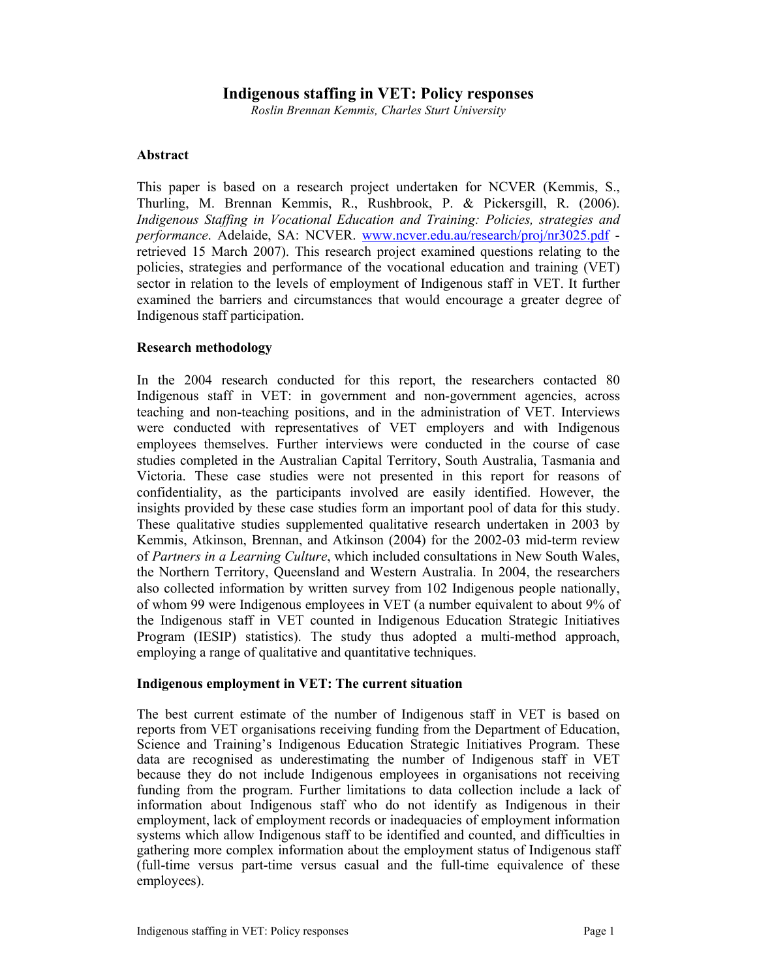## **Indigenous staffing in VET: Policy responses**

*Roslin Brennan Kemmis, Charles Sturt University* 

## **Abstract**

This paper is based on a research project undertaken for NCVER (Kemmis, S., Thurling, M. Brennan Kemmis, R., Rushbrook, P. & Pickersgill, R. (2006). *Indigenous Staffing in Vocational Education and Training: Policies, strategies and performance*. Adelaide, SA: NCVER. www.ncver.edu.au/research/proj/nr3025.pdf retrieved 15 March 2007). This research project examined questions relating to the policies, strategies and performance of the vocational education and training (VET) sector in relation to the levels of employment of Indigenous staff in VET. It further examined the barriers and circumstances that would encourage a greater degree of Indigenous staff participation.

## **Research methodology**

In the 2004 research conducted for this report, the researchers contacted 80 Indigenous staff in VET: in government and non-government agencies, across teaching and non-teaching positions, and in the administration of VET. Interviews were conducted with representatives of VET employers and with Indigenous employees themselves. Further interviews were conducted in the course of case studies completed in the Australian Capital Territory, South Australia, Tasmania and Victoria. These case studies were not presented in this report for reasons of confidentiality, as the participants involved are easily identified. However, the insights provided by these case studies form an important pool of data for this study. These qualitative studies supplemented qualitative research undertaken in 2003 by Kemmis, Atkinson, Brennan, and Atkinson (2004) for the 2002-03 mid-term review of *Partners in a Learning Culture*, which included consultations in New South Wales, the Northern Territory, Queensland and Western Australia. In 2004, the researchers also collected information by written survey from 102 Indigenous people nationally, of whom 99 were Indigenous employees in VET (a number equivalent to about 9% of the Indigenous staff in VET counted in Indigenous Education Strategic Initiatives Program (IESIP) statistics). The study thus adopted a multi-method approach, employing a range of qualitative and quantitative techniques.

### **Indigenous employment in VET: The current situation**

The best current estimate of the number of Indigenous staff in VET is based on reports from VET organisations receiving funding from the Department of Education, Science and Training's Indigenous Education Strategic Initiatives Program. These data are recognised as underestimating the number of Indigenous staff in VET because they do not include Indigenous employees in organisations not receiving funding from the program. Further limitations to data collection include a lack of information about Indigenous staff who do not identify as Indigenous in their employment, lack of employment records or inadequacies of employment information systems which allow Indigenous staff to be identified and counted, and difficulties in gathering more complex information about the employment status of Indigenous staff (full-time versus part-time versus casual and the full-time equivalence of these employees).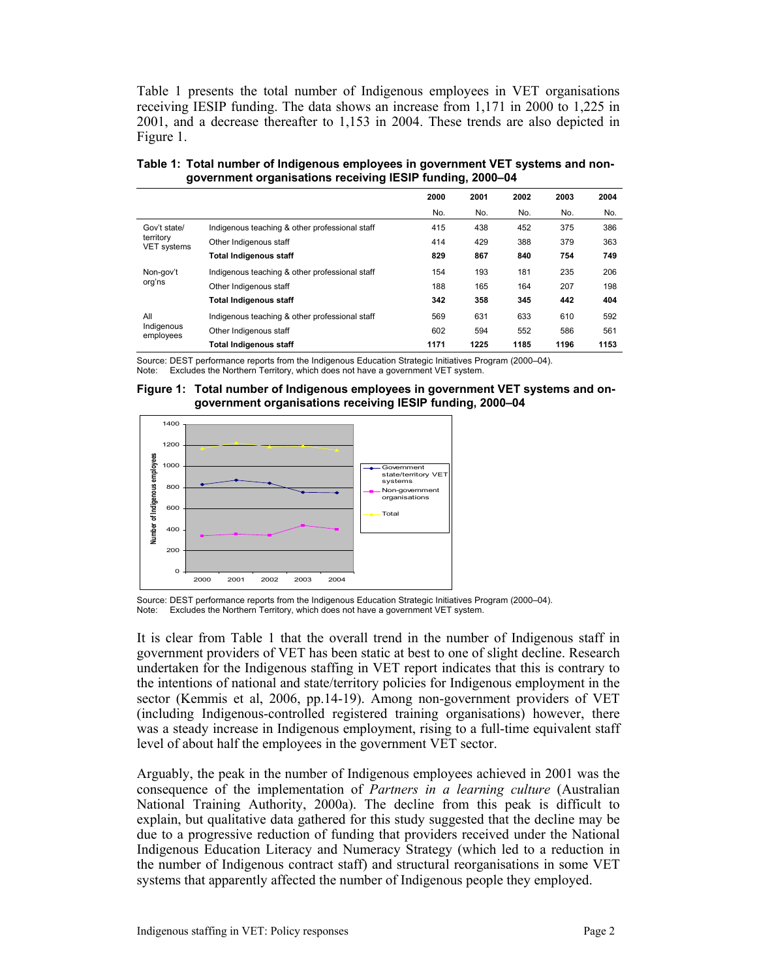Table 1 presents the total number of Indigenous employees in VET organisations receiving IESIP funding. The data shows an increase from 1,171 in 2000 to 1,225 in 2001, and a decrease thereafter to 1,153 in 2004. These trends are also depicted in Figure 1.

**Table 1: Total number of Indigenous employees in government VET systems and nongovernment organisations receiving IESIP funding, 2000–04** 

|                                          |                                                | 2000 | 2001 | 2002 | 2003 | 2004 |
|------------------------------------------|------------------------------------------------|------|------|------|------|------|
|                                          |                                                | No.  | No.  | No.  | No.  | No.  |
| Gov't state/<br>territory<br>VET systems | Indigenous teaching & other professional staff | 415  | 438  | 452  | 375  | 386  |
|                                          | Other Indigenous staff                         | 414  | 429  | 388  | 379  | 363  |
|                                          | Total Indigenous staff                         | 829  | 867  | 840  | 754  | 749  |
| Non-gov't<br>org'ns                      | Indigenous teaching & other professional staff | 154  | 193  | 181  | 235  | 206  |
|                                          | Other Indigenous staff                         | 188  | 165  | 164  | 207  | 198  |
|                                          | <b>Total Indigenous staff</b>                  | 342  | 358  | 345  | 442  | 404  |
| All<br>Indigenous<br>employees           | Indigenous teaching & other professional staff | 569  | 631  | 633  | 610  | 592  |
|                                          | Other Indigenous staff                         | 602  | 594  | 552  | 586  | 561  |
|                                          | Total Indigenous staff                         | 1171 | 1225 | 1185 | 1196 | 1153 |

Source: DEST performance reports from the Indigenous Education Strategic Initiatives Program (2000–04). Note: Excludes the Northern Territory, which does not have a government VET system.





Source: DEST performance reports from the Indigenous Education Strategic Initiatives Program (2000–04). Note: Excludes the Northern Territory, which does not have a government VET system.

It is clear from Table 1 that the overall trend in the number of Indigenous staff in government providers of VET has been static at best to one of slight decline. Research undertaken for the Indigenous staffing in VET report indicates that this is contrary to the intentions of national and state/territory policies for Indigenous employment in the sector (Kemmis et al, 2006, pp.14-19). Among non-government providers of VET (including Indigenous-controlled registered training organisations) however, there was a steady increase in Indigenous employment, rising to a full-time equivalent staff level of about half the employees in the government VET sector.

Arguably, the peak in the number of Indigenous employees achieved in 2001 was the consequence of the implementation of *Partners in a learning culture* (Australian National Training Authority, 2000a). The decline from this peak is difficult to explain, but qualitative data gathered for this study suggested that the decline may be due to a progressive reduction of funding that providers received under the National Indigenous Education Literacy and Numeracy Strategy (which led to a reduction in the number of Indigenous contract staff) and structural reorganisations in some VET systems that apparently affected the number of Indigenous people they employed.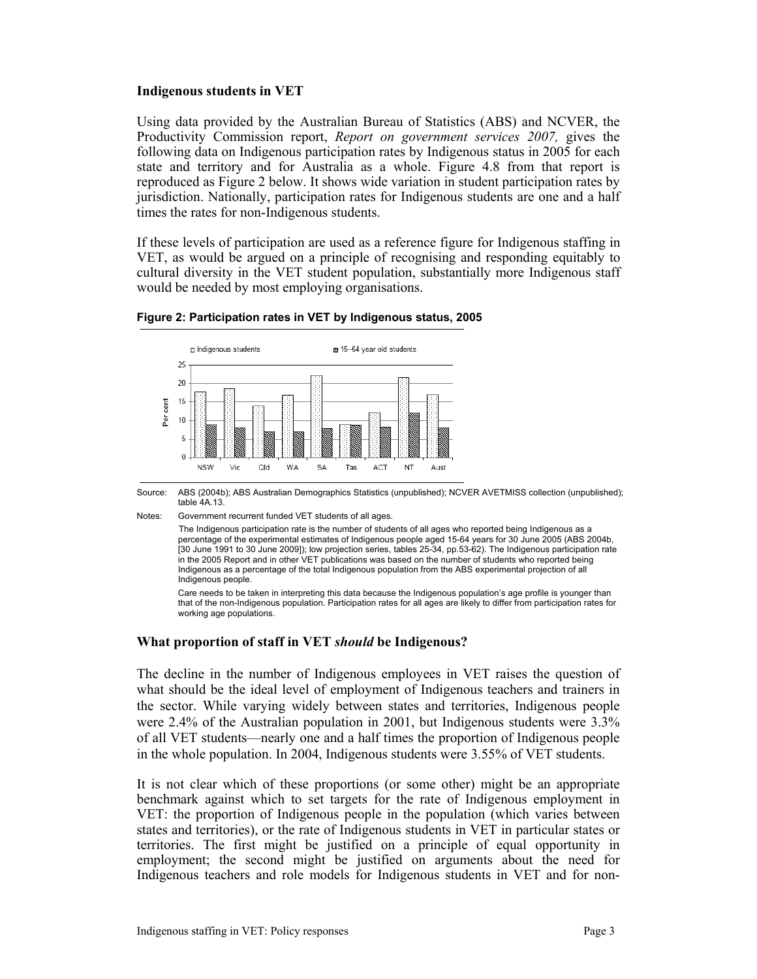### **Indigenous students in VET**

Using data provided by the Australian Bureau of Statistics (ABS) and NCVER, the Productivity Commission report, *Report on government services 2007,* gives the following data on Indigenous participation rates by Indigenous status in 2005 for each state and territory and for Australia as a whole. Figure 4.8 from that report is reproduced as Figure 2 below. It shows wide variation in student participation rates by jurisdiction. Nationally, participation rates for Indigenous students are one and a half times the rates for non-Indigenous students.

If these levels of participation are used as a reference figure for Indigenous staffing in VET, as would be argued on a principle of recognising and responding equitably to cultural diversity in the VET student population, substantially more Indigenous staff would be needed by most employing organisations.



#### **Figure 2: Participation rates in VET by Indigenous status, 2005**

Source: ABS (2004b); ABS Australian Demographics Statistics (unpublished); NCVER AVETMISS collection (unpublished); table 4A.13.

Notes: Government recurrent funded VET students of all ages.

 The Indigenous participation rate is the number of students of all ages who reported being Indigenous as a percentage of the experimental estimates of Indigenous people aged 15-64 years for 30 June 2005 (ABS 2004b, [30 June 1991 to 30 June 2009]); low projection series, tables 25-34, pp.53-62). The Indigenous participation rate in the 2005 Report and in other VET publications was based on the number of students who reported being Indigenous as a percentage of the total Indigenous population from the ABS experimental projection of all Indigenous people.

 Care needs to be taken in interpreting this data because the Indigenous population's age profile is younger than that of the non-Indigenous population. Participation rates for all ages are likely to differ from participation rates for working age populations.

### **What proportion of staff in VET** *should* **be Indigenous?**

The decline in the number of Indigenous employees in VET raises the question of what should be the ideal level of employment of Indigenous teachers and trainers in the sector. While varying widely between states and territories, Indigenous people were 2.4% of the Australian population in 2001, but Indigenous students were 3.3% of all VET students—nearly one and a half times the proportion of Indigenous people in the whole population. In 2004, Indigenous students were 3.55% of VET students.

It is not clear which of these proportions (or some other) might be an appropriate benchmark against which to set targets for the rate of Indigenous employment in VET: the proportion of Indigenous people in the population (which varies between states and territories), or the rate of Indigenous students in VET in particular states or territories. The first might be justified on a principle of equal opportunity in employment; the second might be justified on arguments about the need for Indigenous teachers and role models for Indigenous students in VET and for non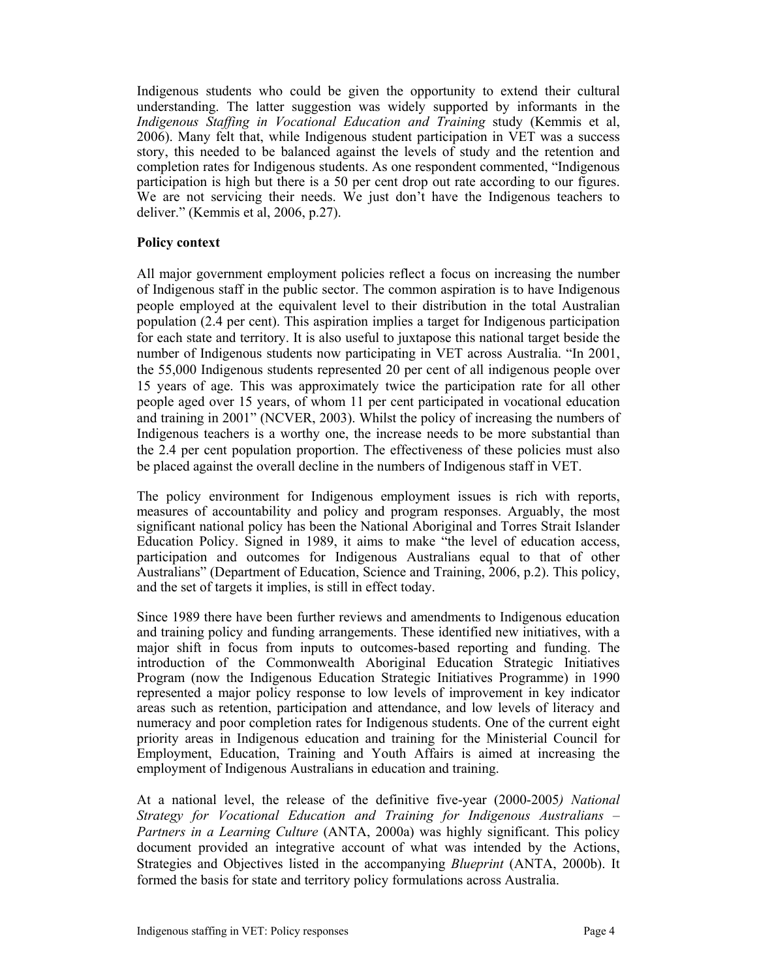Indigenous students who could be given the opportunity to extend their cultural understanding. The latter suggestion was widely supported by informants in the *Indigenous Staffing in Vocational Education and Training* study (Kemmis et al, 2006). Many felt that, while Indigenous student participation in VET was a success story, this needed to be balanced against the levels of study and the retention and completion rates for Indigenous students. As one respondent commented, "Indigenous participation is high but there is a 50 per cent drop out rate according to our figures. We are not servicing their needs. We just don't have the Indigenous teachers to deliver." (Kemmis et al, 2006, p.27).

## **Policy context**

All major government employment policies reflect a focus on increasing the number of Indigenous staff in the public sector. The common aspiration is to have Indigenous people employed at the equivalent level to their distribution in the total Australian population (2.4 per cent). This aspiration implies a target for Indigenous participation for each state and territory. It is also useful to juxtapose this national target beside the number of Indigenous students now participating in VET across Australia. "In 2001, the 55,000 Indigenous students represented 20 per cent of all indigenous people over 15 years of age. This was approximately twice the participation rate for all other people aged over 15 years, of whom 11 per cent participated in vocational education and training in 2001" (NCVER, 2003). Whilst the policy of increasing the numbers of Indigenous teachers is a worthy one, the increase needs to be more substantial than the 2.4 per cent population proportion. The effectiveness of these policies must also be placed against the overall decline in the numbers of Indigenous staff in VET.

The policy environment for Indigenous employment issues is rich with reports, measures of accountability and policy and program responses. Arguably, the most significant national policy has been the National Aboriginal and Torres Strait Islander Education Policy. Signed in 1989, it aims to make "the level of education access, participation and outcomes for Indigenous Australians equal to that of other Australians" (Department of Education, Science and Training, 2006, p.2). This policy, and the set of targets it implies, is still in effect today.

Since 1989 there have been further reviews and amendments to Indigenous education and training policy and funding arrangements. These identified new initiatives, with a major shift in focus from inputs to outcomes-based reporting and funding. The introduction of the Commonwealth Aboriginal Education Strategic Initiatives Program (now the Indigenous Education Strategic Initiatives Programme) in 1990 represented a major policy response to low levels of improvement in key indicator areas such as retention, participation and attendance, and low levels of literacy and numeracy and poor completion rates for Indigenous students. One of the current eight priority areas in Indigenous education and training for the Ministerial Council for Employment, Education, Training and Youth Affairs is aimed at increasing the employment of Indigenous Australians in education and training.

At a national level, the release of the definitive five-year (2000-2005*) National Strategy for Vocational Education and Training for Indigenous Australians – Partners in a Learning Culture* (ANTA, 2000a) was highly significant. This policy document provided an integrative account of what was intended by the Actions, Strategies and Objectives listed in the accompanying *Blueprint* (ANTA, 2000b). It formed the basis for state and territory policy formulations across Australia.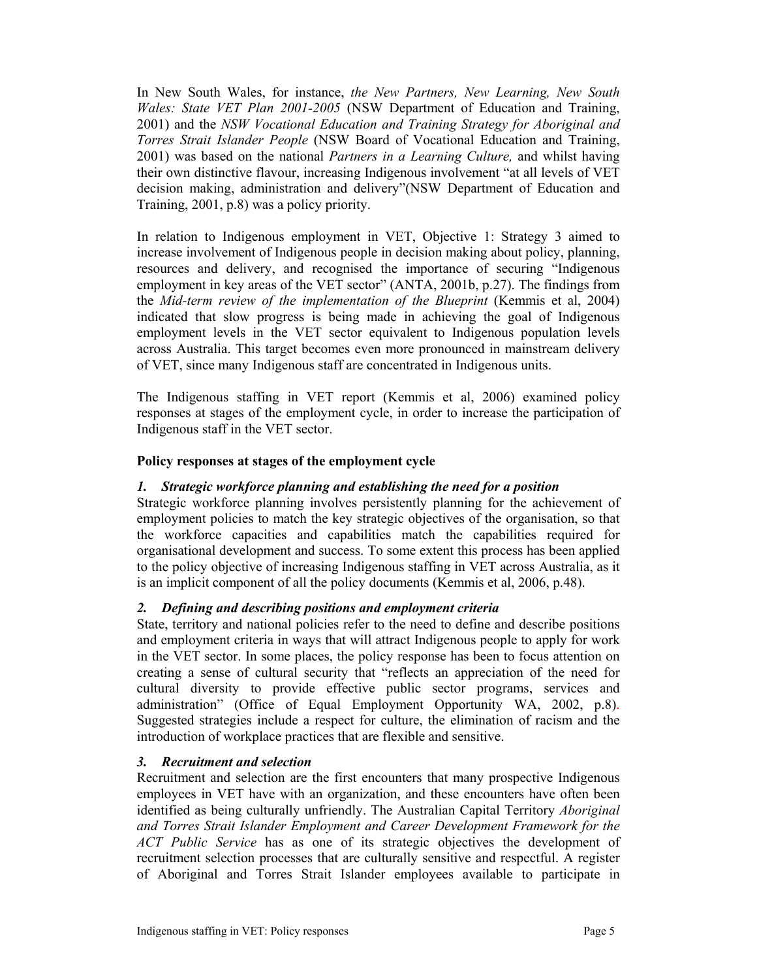In New South Wales, for instance, *the New Partners, New Learning, New South Wales: State VET Plan 2001-2005* (NSW Department of Education and Training, 2001) and the *NSW Vocational Education and Training Strategy for Aboriginal and Torres Strait Islander People* (NSW Board of Vocational Education and Training, 2001) was based on the national *Partners in a Learning Culture,* and whilst having their own distinctive flavour, increasing Indigenous involvement "at all levels of VET decision making, administration and delivery"(NSW Department of Education and Training, 2001, p.8) was a policy priority.

In relation to Indigenous employment in VET, Objective 1: Strategy 3 aimed to increase involvement of Indigenous people in decision making about policy, planning, resources and delivery, and recognised the importance of securing "Indigenous employment in key areas of the VET sector" (ANTA, 2001b, p.27). The findings from the *Mid-term review of the implementation of the Blueprint* (Kemmis et al, 2004) indicated that slow progress is being made in achieving the goal of Indigenous employment levels in the VET sector equivalent to Indigenous population levels across Australia. This target becomes even more pronounced in mainstream delivery of VET, since many Indigenous staff are concentrated in Indigenous units.

The Indigenous staffing in VET report (Kemmis et al, 2006) examined policy responses at stages of the employment cycle, in order to increase the participation of Indigenous staff in the VET sector.

# **Policy responses at stages of the employment cycle**

## *1. Strategic workforce planning and establishing the need for a position*

Strategic workforce planning involves persistently planning for the achievement of employment policies to match the key strategic objectives of the organisation, so that the workforce capacities and capabilities match the capabilities required for organisational development and success. To some extent this process has been applied to the policy objective of increasing Indigenous staffing in VET across Australia, as it is an implicit component of all the policy documents (Kemmis et al, 2006, p.48).

# *2. Defining and describing positions and employment criteria*

State, territory and national policies refer to the need to define and describe positions and employment criteria in ways that will attract Indigenous people to apply for work in the VET sector. In some places, the policy response has been to focus attention on creating a sense of cultural security that "reflects an appreciation of the need for cultural diversity to provide effective public sector programs, services and administration" (Office of Equal Employment Opportunity WA, 2002, p.8). Suggested strategies include a respect for culture, the elimination of racism and the introduction of workplace practices that are flexible and sensitive.

## *3. Recruitment and selection*

Recruitment and selection are the first encounters that many prospective Indigenous employees in VET have with an organization, and these encounters have often been identified as being culturally unfriendly. The Australian Capital Territory *Aboriginal and Torres Strait Islander Employment and Career Development Framework for the ACT Public Service* has as one of its strategic objectives the development of recruitment selection processes that are culturally sensitive and respectful. A register of Aboriginal and Torres Strait Islander employees available to participate in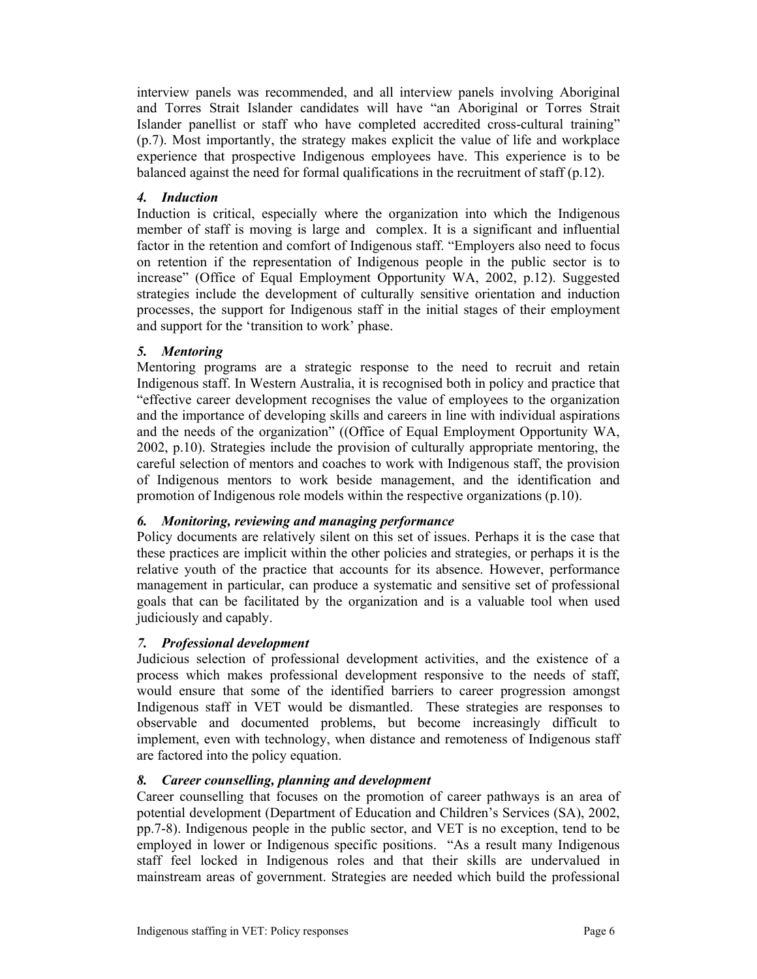interview panels was recommended, and all interview panels involving Aboriginal and Torres Strait Islander candidates will have "an Aboriginal or Torres Strait Islander panellist or staff who have completed accredited cross-cultural training" (p.7). Most importantly, the strategy makes explicit the value of life and workplace experience that prospective Indigenous employees have. This experience is to be balanced against the need for formal qualifications in the recruitment of staff  $(p.12)$ .

# *4. Induction*

Induction is critical, especially where the organization into which the Indigenous member of staff is moving is large and complex. It is a significant and influential factor in the retention and comfort of Indigenous staff. "Employers also need to focus on retention if the representation of Indigenous people in the public sector is to increase" (Office of Equal Employment Opportunity WA, 2002, p.12). Suggested strategies include the development of culturally sensitive orientation and induction processes, the support for Indigenous staff in the initial stages of their employment and support for the 'transition to work' phase.

# *5. Mentoring*

Mentoring programs are a strategic response to the need to recruit and retain Indigenous staff. In Western Australia, it is recognised both in policy and practice that "effective career development recognises the value of employees to the organization and the importance of developing skills and careers in line with individual aspirations and the needs of the organization" ((Office of Equal Employment Opportunity WA, 2002, p.10). Strategies include the provision of culturally appropriate mentoring, the careful selection of mentors and coaches to work with Indigenous staff, the provision of Indigenous mentors to work beside management, and the identification and promotion of Indigenous role models within the respective organizations (p.10).

# *6. Monitoring, reviewing and managing performance*

Policy documents are relatively silent on this set of issues. Perhaps it is the case that these practices are implicit within the other policies and strategies, or perhaps it is the relative youth of the practice that accounts for its absence. However, performance management in particular, can produce a systematic and sensitive set of professional goals that can be facilitated by the organization and is a valuable tool when used judiciously and capably.

# *7. Professional development*

Judicious selection of professional development activities, and the existence of a process which makes professional development responsive to the needs of staff, would ensure that some of the identified barriers to career progression amongst Indigenous staff in VET would be dismantled. These strategies are responses to observable and documented problems, but become increasingly difficult to implement, even with technology, when distance and remoteness of Indigenous staff are factored into the policy equation.

# *8. Career counselling, planning and development*

Career counselling that focuses on the promotion of career pathways is an area of potential development (Department of Education and Children's Services (SA), 2002, pp.7-8). Indigenous people in the public sector, and VET is no exception, tend to be employed in lower or Indigenous specific positions. "As a result many Indigenous staff feel locked in Indigenous roles and that their skills are undervalued in mainstream areas of government. Strategies are needed which build the professional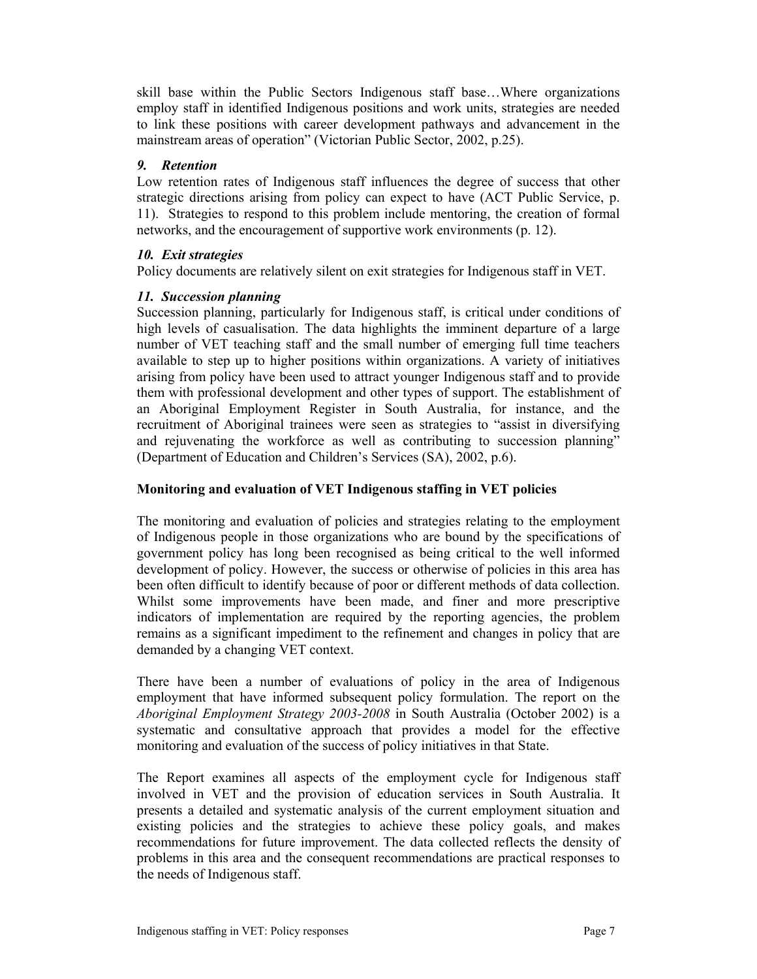skill base within the Public Sectors Indigenous staff base…Where organizations employ staff in identified Indigenous positions and work units, strategies are needed to link these positions with career development pathways and advancement in the mainstream areas of operation" (Victorian Public Sector, 2002, p.25).

## *9. Retention*

Low retention rates of Indigenous staff influences the degree of success that other strategic directions arising from policy can expect to have (ACT Public Service, p. 11). Strategies to respond to this problem include mentoring, the creation of formal networks, and the encouragement of supportive work environments (p. 12).

## *10. Exit strategies*

Policy documents are relatively silent on exit strategies for Indigenous staff in VET.

# *11. Succession planning*

Succession planning, particularly for Indigenous staff, is critical under conditions of high levels of casualisation. The data highlights the imminent departure of a large number of VET teaching staff and the small number of emerging full time teachers available to step up to higher positions within organizations. A variety of initiatives arising from policy have been used to attract younger Indigenous staff and to provide them with professional development and other types of support. The establishment of an Aboriginal Employment Register in South Australia, for instance, and the recruitment of Aboriginal trainees were seen as strategies to "assist in diversifying and rejuvenating the workforce as well as contributing to succession planning" (Department of Education and Children's Services (SA), 2002, p.6).

## **Monitoring and evaluation of VET Indigenous staffing in VET policies**

The monitoring and evaluation of policies and strategies relating to the employment of Indigenous people in those organizations who are bound by the specifications of government policy has long been recognised as being critical to the well informed development of policy. However, the success or otherwise of policies in this area has been often difficult to identify because of poor or different methods of data collection. Whilst some improvements have been made, and finer and more prescriptive indicators of implementation are required by the reporting agencies, the problem remains as a significant impediment to the refinement and changes in policy that are demanded by a changing VET context.

There have been a number of evaluations of policy in the area of Indigenous employment that have informed subsequent policy formulation. The report on the *Aboriginal Employment Strategy 2003-2008* in South Australia (October 2002) is a systematic and consultative approach that provides a model for the effective monitoring and evaluation of the success of policy initiatives in that State.

The Report examines all aspects of the employment cycle for Indigenous staff involved in VET and the provision of education services in South Australia. It presents a detailed and systematic analysis of the current employment situation and existing policies and the strategies to achieve these policy goals, and makes recommendations for future improvement. The data collected reflects the density of problems in this area and the consequent recommendations are practical responses to the needs of Indigenous staff.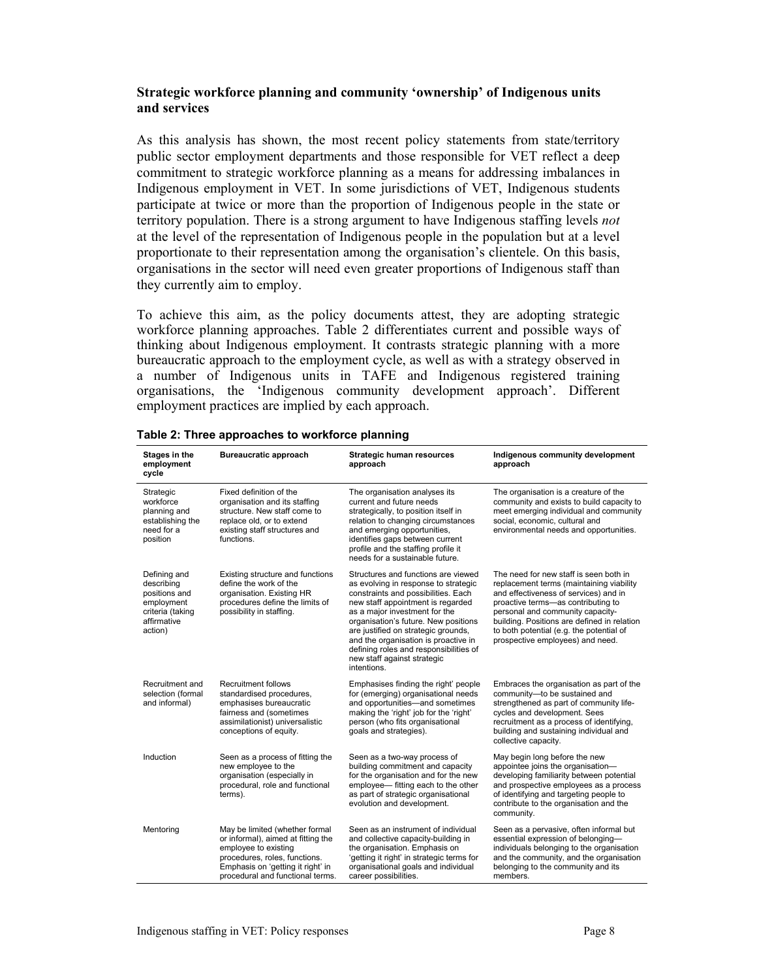## **Strategic workforce planning and community 'ownership' of Indigenous units and services**

As this analysis has shown, the most recent policy statements from state/territory public sector employment departments and those responsible for VET reflect a deep commitment to strategic workforce planning as a means for addressing imbalances in Indigenous employment in VET. In some jurisdictions of VET, Indigenous students participate at twice or more than the proportion of Indigenous people in the state or territory population. There is a strong argument to have Indigenous staffing levels *not* at the level of the representation of Indigenous people in the population but at a level proportionate to their representation among the organisation's clientele. On this basis, organisations in the sector will need even greater proportions of Indigenous staff than they currently aim to employ.

To achieve this aim, as the policy documents attest, they are adopting strategic workforce planning approaches. Table 2 differentiates current and possible ways of thinking about Indigenous employment. It contrasts strategic planning with a more bureaucratic approach to the employment cycle, as well as with a strategy observed in a number of Indigenous units in TAFE and Indigenous registered training organisations, the 'Indigenous community development approach'. Different employment practices are implied by each approach.

| Stages in the<br>employment<br>cycle                                                                    | <b>Bureaucratic approach</b>                                                                                                                                                                           | Strategic human resources<br>approach                                                                                                                                                                                                                                                                                                                                                                   | Indigenous community development<br>approach                                                                                                                                                                                                                                                                                         |
|---------------------------------------------------------------------------------------------------------|--------------------------------------------------------------------------------------------------------------------------------------------------------------------------------------------------------|---------------------------------------------------------------------------------------------------------------------------------------------------------------------------------------------------------------------------------------------------------------------------------------------------------------------------------------------------------------------------------------------------------|--------------------------------------------------------------------------------------------------------------------------------------------------------------------------------------------------------------------------------------------------------------------------------------------------------------------------------------|
| Strategic<br>workforce<br>planning and<br>establishing the<br>need for a<br>position                    | Fixed definition of the<br>organisation and its staffing<br>structure. New staff come to<br>replace old, or to extend<br>existing staff structures and<br>functions.                                   | The organisation analyses its<br>current and future needs<br>strategically, to position itself in<br>relation to changing circumstances<br>and emerging opportunities,<br>identifies gaps between current<br>profile and the staffing profile it<br>needs for a sustainable future.                                                                                                                     | The organisation is a creature of the<br>community and exists to build capacity to<br>meet emerging individual and community<br>social, economic, cultural and<br>environmental needs and opportunities.                                                                                                                             |
| Defining and<br>describing<br>positions and<br>employment<br>criteria (taking<br>affirmative<br>action) | Existing structure and functions<br>define the work of the<br>organisation. Existing HR<br>procedures define the limits of<br>possibility in staffing.                                                 | Structures and functions are viewed<br>as evolving in response to strategic<br>constraints and possibilities. Each<br>new staff appointment is regarded<br>as a major investment for the<br>organisation's future. New positions<br>are justified on strategic grounds,<br>and the organisation is proactive in<br>defining roles and responsibilities of<br>new staff against strategic<br>intentions. | The need for new staff is seen both in<br>replacement terms (maintaining viability<br>and effectiveness of services) and in<br>proactive terms-as contributing to<br>personal and community capacity-<br>building. Positions are defined in relation<br>to both potential (e.g. the potential of<br>prospective employees) and need. |
| Recruitment and<br>selection (formal<br>and informal)                                                   | <b>Recruitment follows</b><br>standardised procedures,<br>emphasises bureaucratic<br>fairness and (sometimes<br>assimilationist) universalistic<br>conceptions of equity.                              | Emphasises finding the right' people<br>for (emerging) organisational needs<br>and opportunities-and sometimes<br>making the 'right' job for the 'right'<br>person (who fits organisational<br>goals and strategies).                                                                                                                                                                                   | Embraces the organisation as part of the<br>community-to be sustained and<br>strengthened as part of community life-<br>cycles and development. Sees<br>recruitment as a process of identifying,<br>building and sustaining individual and<br>collective capacity.                                                                   |
| Induction                                                                                               | Seen as a process of fitting the<br>new employee to the<br>organisation (especially in<br>procedural, role and functional<br>terms).                                                                   | Seen as a two-way process of<br>building commitment and capacity<br>for the organisation and for the new<br>employee— fitting each to the other<br>as part of strategic organisational<br>evolution and development.                                                                                                                                                                                    | May begin long before the new<br>appointee joins the organisation-<br>developing familiarity between potential<br>and prospective employees as a process<br>of identifying and targeting people to<br>contribute to the organisation and the<br>community.                                                                           |
| Mentoring                                                                                               | May be limited (whether formal<br>or informal), aimed at fitting the<br>employee to existing<br>procedures, roles, functions.<br>Emphasis on 'getting it right' in<br>procedural and functional terms. | Seen as an instrument of individual<br>and collective capacity-building in<br>the organisation. Emphasis on<br>'getting it right' in strategic terms for<br>organisational goals and individual<br>career possibilities.                                                                                                                                                                                | Seen as a pervasive, often informal but<br>essential expression of belonging-<br>individuals belonging to the organisation<br>and the community, and the organisation<br>belonging to the community and its<br>members.                                                                                                              |

### **Table 2: Three approaches to workforce planning**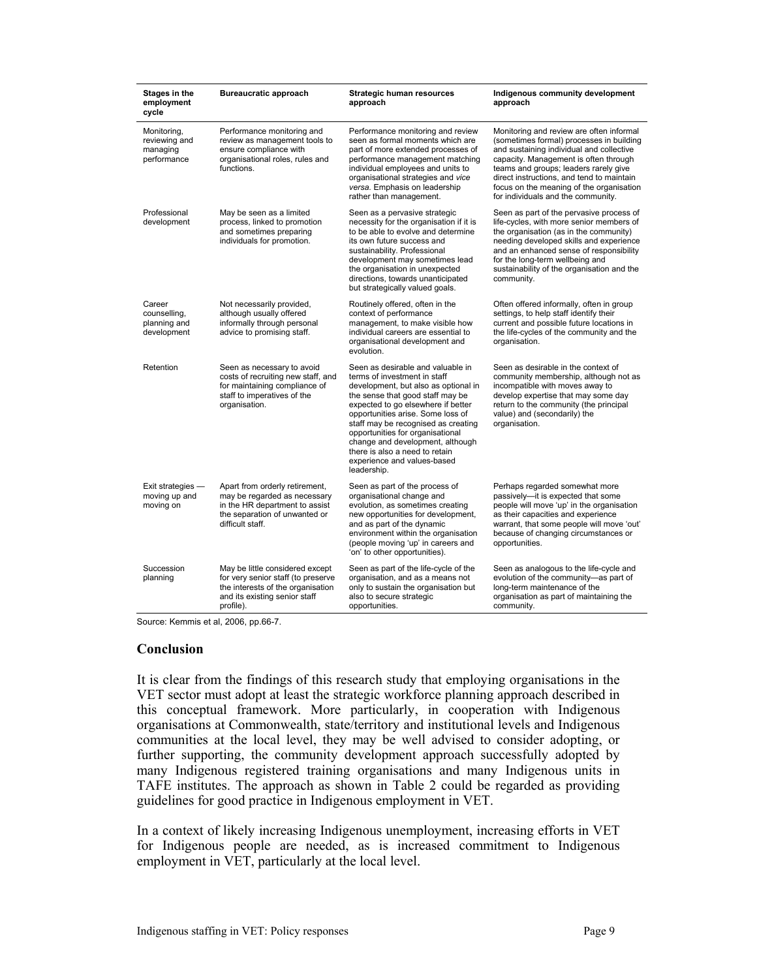| <b>Stages in the</b><br>employment<br>cycle             | <b>Bureaucratic approach</b>                                                                                                                             | <b>Strategic human resources</b><br>approach                                                                                                                                                                                                                                                                                                                                                                            | Indigenous community development<br>approach                                                                                                                                                                                                                                                                                                      |
|---------------------------------------------------------|----------------------------------------------------------------------------------------------------------------------------------------------------------|-------------------------------------------------------------------------------------------------------------------------------------------------------------------------------------------------------------------------------------------------------------------------------------------------------------------------------------------------------------------------------------------------------------------------|---------------------------------------------------------------------------------------------------------------------------------------------------------------------------------------------------------------------------------------------------------------------------------------------------------------------------------------------------|
| Monitoring,<br>reviewing and<br>managing<br>performance | Performance monitoring and<br>review as management tools to<br>ensure compliance with<br>organisational roles, rules and<br>functions.                   | Performance monitoring and review<br>seen as formal moments which are<br>part of more extended processes of<br>performance management matching<br>individual employees and units to<br>organisational strategies and vice<br>versa. Emphasis on leadership<br>rather than management.                                                                                                                                   | Monitoring and review are often informal<br>(sometimes formal) processes in building<br>and sustaining individual and collective<br>capacity. Management is often through<br>teams and groups; leaders rarely give<br>direct instructions, and tend to maintain<br>focus on the meaning of the organisation<br>for individuals and the community. |
| Professional<br>development                             | May be seen as a limited<br>process, linked to promotion<br>and sometimes preparing<br>individuals for promotion.                                        | Seen as a pervasive strategic<br>necessity for the organisation if it is<br>to be able to evolve and determine<br>its own future success and<br>sustainability. Professional<br>development may sometimes lead<br>the organisation in unexpected<br>directions, towards unanticipated<br>but strategically valued goals.                                                                                                | Seen as part of the pervasive process of<br>life-cycles, with more senior members of<br>the organisation (as in the community)<br>needing developed skills and experience<br>and an enhanced sense of responsibility<br>for the long-term wellbeing and<br>sustainability of the organisation and the<br>community.                               |
| Career<br>counselling,<br>planning and<br>development   | Not necessarily provided,<br>although usually offered<br>informally through personal<br>advice to promising staff.                                       | Routinely offered, often in the<br>context of performance<br>management, to make visible how<br>individual careers are essential to<br>organisational development and<br>evolution.                                                                                                                                                                                                                                     | Often offered informally, often in group<br>settings, to help staff identify their<br>current and possible future locations in<br>the life-cycles of the community and the<br>organisation.                                                                                                                                                       |
| Retention                                               | Seen as necessary to avoid<br>costs of recruiting new staff, and<br>for maintaining compliance of<br>staff to imperatives of the<br>organisation.        | Seen as desirable and valuable in<br>terms of investment in staff<br>development, but also as optional in<br>the sense that good staff may be<br>expected to go elsewhere if better<br>opportunities arise. Some loss of<br>staff may be recognised as creating<br>opportunities for organisational<br>change and development, although<br>there is also a need to retain<br>experience and values-based<br>leadership. | Seen as desirable in the context of<br>community membership, although not as<br>incompatible with moves away to<br>develop expertise that may some day<br>return to the community (the principal<br>value) and (secondarily) the<br>organisation.                                                                                                 |
| Exit strategies -<br>moving up and<br>moving on         | Apart from orderly retirement,<br>may be regarded as necessary<br>in the HR department to assist<br>the separation of unwanted or<br>difficult staff.    | Seen as part of the process of<br>organisational change and<br>evolution, as sometimes creating<br>new opportunities for development,<br>and as part of the dynamic<br>environment within the organisation<br>(people moving 'up' in careers and<br>'on' to other opportunities).                                                                                                                                       | Perhaps regarded somewhat more<br>passively-it is expected that some<br>people will move 'up' in the organisation<br>as their capacities and experience<br>warrant, that some people will move 'out'<br>because of changing circumstances or<br>opportunities.                                                                                    |
| Succession<br>planning                                  | May be little considered except<br>for very senior staff (to preserve<br>the interests of the organisation<br>and its existing senior staff<br>profile). | Seen as part of the life-cycle of the<br>organisation, and as a means not<br>only to sustain the organisation but<br>also to secure strategic<br>opportunities.                                                                                                                                                                                                                                                         | Seen as analogous to the life-cycle and<br>evolution of the community-as part of<br>long-term maintenance of the<br>organisation as part of maintaining the<br>community.                                                                                                                                                                         |

Source: Kemmis et al, 2006, pp.66-7.

#### **Conclusion**

It is clear from the findings of this research study that employing organisations in the VET sector must adopt at least the strategic workforce planning approach described in this conceptual framework. More particularly, in cooperation with Indigenous organisations at Commonwealth, state/territory and institutional levels and Indigenous communities at the local level, they may be well advised to consider adopting, or further supporting, the community development approach successfully adopted by many Indigenous registered training organisations and many Indigenous units in TAFE institutes. The approach as shown in Table 2 could be regarded as providing guidelines for good practice in Indigenous employment in VET.

In a context of likely increasing Indigenous unemployment, increasing efforts in VET for Indigenous people are needed, as is increased commitment to Indigenous employment in VET, particularly at the local level.